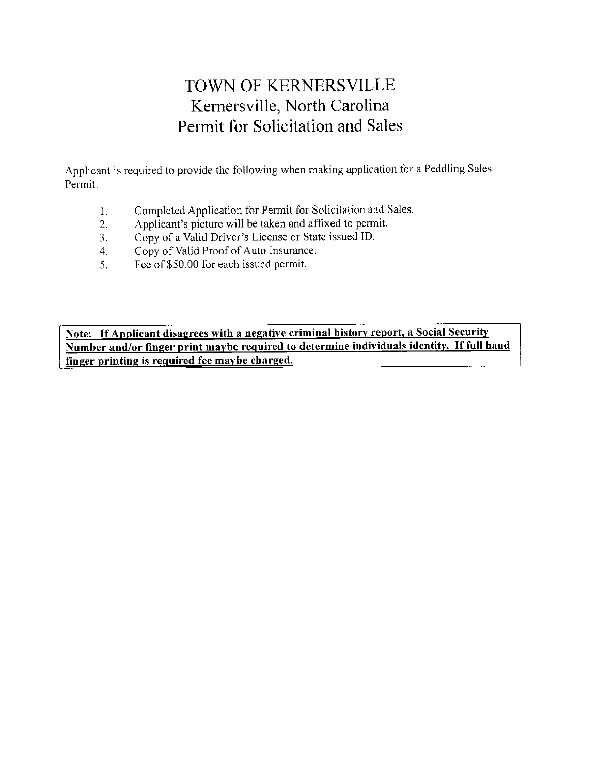# **TOWN OF KERNERSVILLE** Kernersville, North Carolina Permit for Solicitation and Sales

Applicant is required to provide the following when making application for a Peddling Sales Permit.

- $\mathbf{1}$ . Completed Application for Permit for Solicitation and Sales.
- Applicant's picture will be taken and affixed to permit.  $2.$
- Copy of a Valid Driver's License or State issued ID.  $3<sub>1</sub>$
- Copy of Valid Proof of Auto Insurance.  $4.$
- Fee of \$50.00 for each issued permit. 5.

Note: If Applicant disagrees with a negative criminal history report, a Social Security Number and/or finger print maybe required to determine individuals identity. If full hand finger printing is required fee maybe charged.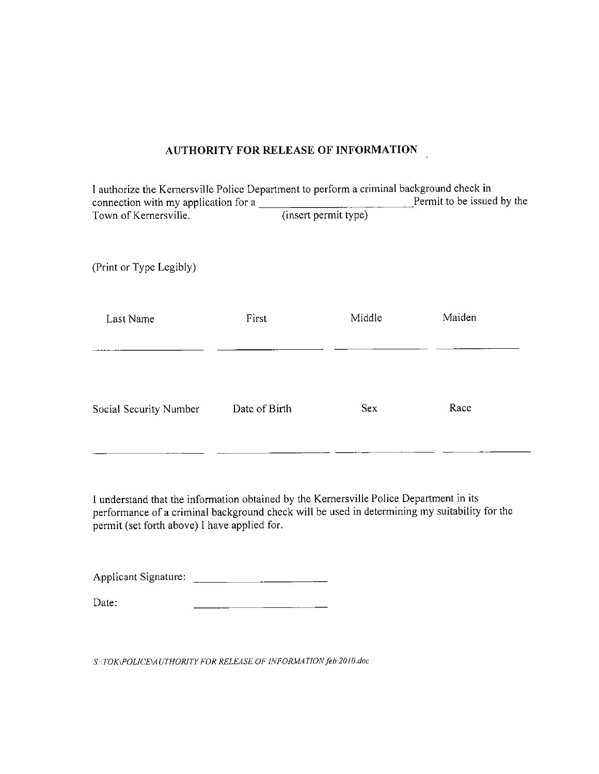#### **AUTHORITY FOR RELEASE OF INFORMATION**

| I authorize the Kernersville Police Department to perform a criminal background check in<br>connection with my application for a |                      |            | Permit to be issued by the |
|----------------------------------------------------------------------------------------------------------------------------------|----------------------|------------|----------------------------|
| Town of Kernersville.                                                                                                            | (insert permit type) |            |                            |
| (Print or Type Legibly)                                                                                                          |                      |            |                            |
| Last Name                                                                                                                        | First                | Middle     | Maiden                     |
| Social Security Number                                                                                                           | Date of Birth        | <b>Sex</b> | Race                       |

I understand that the information obtained by the Kernersville Police Department in its performance of a criminal background check will be used in determining my suitability for the permit (set forth above) I have applied for.

| Date: |  |  |  |
|-------|--|--|--|

SNIOK\POLICE\AUTHORITY FOR RELEASE OF INFORMATION feb 2010.doc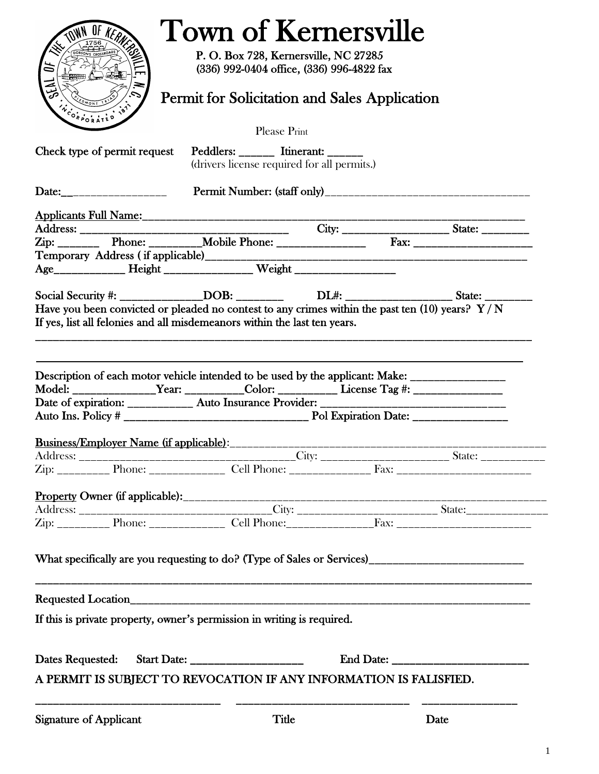| ä                             | OF KERNERS                              | <b>Town of Kernersville</b><br>P. O. Box 728, Kernersville, NC 27285<br>(336) 992-0404 office, (336) 996-4822 fax |                                                                                                                                                                                                            |
|-------------------------------|-----------------------------------------|-------------------------------------------------------------------------------------------------------------------|------------------------------------------------------------------------------------------------------------------------------------------------------------------------------------------------------------|
| NCORPORATED                   |                                         | Permit for Solicitation and Sales Application                                                                     |                                                                                                                                                                                                            |
|                               |                                         | Please Print                                                                                                      |                                                                                                                                                                                                            |
|                               |                                         | Check type of permit request Peddlers: _______ Itinerant: ______<br>(drivers license required for all permits.)   |                                                                                                                                                                                                            |
|                               |                                         |                                                                                                                   |                                                                                                                                                                                                            |
|                               |                                         |                                                                                                                   |                                                                                                                                                                                                            |
|                               |                                         |                                                                                                                   |                                                                                                                                                                                                            |
|                               |                                         |                                                                                                                   |                                                                                                                                                                                                            |
|                               |                                         |                                                                                                                   |                                                                                                                                                                                                            |
|                               |                                         |                                                                                                                   |                                                                                                                                                                                                            |
|                               |                                         |                                                                                                                   | Social Security #: _______________DOB: ___________________DL#: _______________________State: _____________                                                                                                 |
|                               |                                         |                                                                                                                   | Have you been convicted or pleaded no contest to any crimes within the past ten (10) years? $Y/N$                                                                                                          |
|                               |                                         | If yes, list all felonies and all misdemeanors within the last ten years.                                         |                                                                                                                                                                                                            |
|                               |                                         |                                                                                                                   | Description of each motor vehicle intended to be used by the applicant: Make: _____________________<br>Model: __________________Year: ____________Color: ________________License Tag #: __________________ |
|                               |                                         |                                                                                                                   |                                                                                                                                                                                                            |
|                               | Business/Employer Name (if applicable): |                                                                                                                   |                                                                                                                                                                                                            |
|                               |                                         |                                                                                                                   |                                                                                                                                                                                                            |
|                               |                                         |                                                                                                                   |                                                                                                                                                                                                            |
|                               |                                         |                                                                                                                   |                                                                                                                                                                                                            |
|                               |                                         |                                                                                                                   |                                                                                                                                                                                                            |
|                               |                                         |                                                                                                                   |                                                                                                                                                                                                            |
|                               |                                         |                                                                                                                   | What specifically are you requesting to do? (Type of Sales or Services)_____________________________                                                                                                       |
|                               |                                         |                                                                                                                   |                                                                                                                                                                                                            |
|                               |                                         | If this is private property, owner's permission in writing is required.                                           |                                                                                                                                                                                                            |
|                               |                                         |                                                                                                                   |                                                                                                                                                                                                            |
|                               |                                         | A PERMIT IS SUBJECT TO REVOCATION IF ANY INFORMATION IS FALISFIED.                                                |                                                                                                                                                                                                            |
| <b>Signature of Applicant</b> |                                         | Title                                                                                                             | Date                                                                                                                                                                                                       |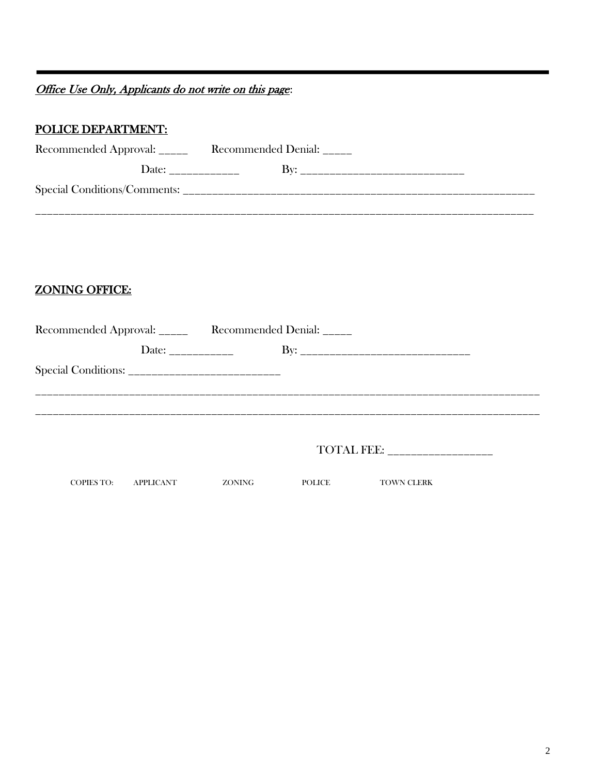Office Use Only, Applicants do not write on this page:

# POLICE DEPARTMENT:

..

| Recommended Approval: _____  | Recommended Denial: |  |
|------------------------------|---------------------|--|
| Date:                        | Kv•                 |  |
| Special Conditions/Comments: |                     |  |
|                              |                     |  |

# ZONING OFFICE:

| Recommended Approval: _____ Recommended Denial: _____ |           |        |               |                   |  |
|-------------------------------------------------------|-----------|--------|---------------|-------------------|--|
|                                                       |           |        |               |                   |  |
|                                                       |           |        |               |                   |  |
|                                                       |           |        |               |                   |  |
|                                                       |           |        |               |                   |  |
|                                                       |           |        |               |                   |  |
|                                                       |           |        |               | TOTAL FEE:        |  |
| <b>COPIES TO:</b>                                     | APPLICANT | ZONING | <b>POLICE</b> | <b>TOWN CLERK</b> |  |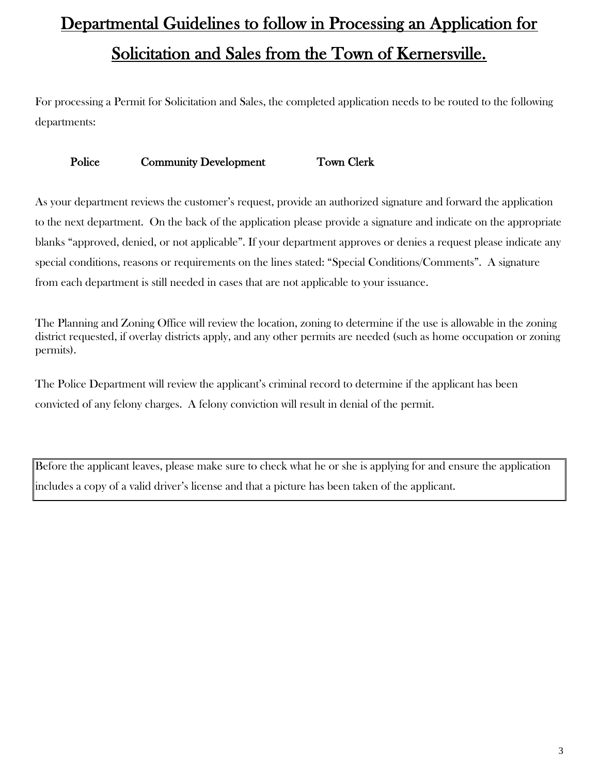# Departmental Guidelines to follow in Processing an Application for Solicitation and Sales from the Town of Kernersville.

For processing a Permit for Solicitation and Sales, the completed application needs to be routed to the following departments:

#### Police Community Development Town Clerk

As your department reviews the customer's request, provide an authorized signature and forward the application to the next department. On the back of the application please provide a signature and indicate on the appropriate blanks "approved, denied, or not applicable". If your department approves or denies a request please indicate any special conditions, reasons or requirements on the lines stated: "Special Conditions/Comments". A signature from each department is still needed in cases that are not applicable to your issuance.

The Planning and Zoning Office will review the location, zoning to determine if the use is allowable in the zoning district requested, if overlay districts apply, and any other permits are needed (such as home occupation or zoning permits).

The Police Department will review the applicant's criminal record to determine if the applicant has been convicted of any felony charges. A felony conviction will result in denial of the permit.

Before the applicant leaves, please make sure to check what he or she is applying for and ensure the application includes a copy of a valid driver's license and that a picture has been taken of the applicant.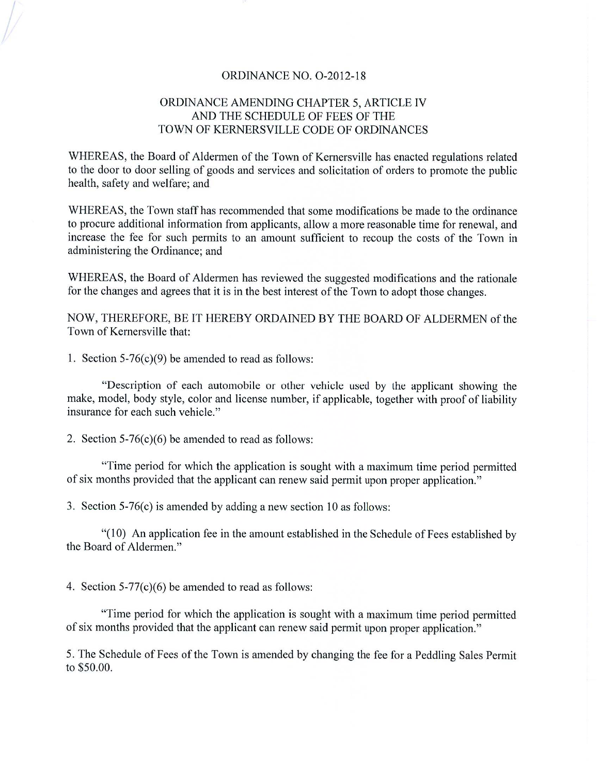#### ORDINANCE NO. O-2012-18

#### ORDINANCE AMENDING CHAPTER 5, ARTICLE IV AND THE SCHEDULE OF FEES OF THE TOWN OF KERNERSVILLE CODE OF ORDINANCES

WHEREAS, the Board of Aldermen of the Town of Kernersville has enacted regulations related to the door to door selling of goods and services and solicitation of orders to promote the public health, safety and welfare; and

WHEREAS, the Town staff has recommended that some modifications be made to the ordinance to procure additional information from applicants, allow a more reasonable time for renewal, and increase the fee for such permits to an amount sufficient to recoup the costs of the Town in administering the Ordinance; and

WHEREAS, the Board of Aldermen has reviewed the suggested modifications and the rationale for the changes and agrees that it is in the best interest of the Town to adopt those changes.

NOW, THEREFORE, BE IT HEREBY ORDAINED BY THE BOARD OF ALDERMEN of the Town of Kernersville that:

1. Section  $5-76(c)(9)$  be amended to read as follows:

"Description of each automobile or other vehicle used by the applicant showing the make, model, body style, color and license number, if applicable, together with proof of liability insurance for each such vehicle."

2. Section  $5-76(c)(6)$  be amended to read as follows:

"Time period for which the application is sought with a maximum time period permitted of six months provided that the applicant can renew said permit upon proper application."

3. Section  $5-76(c)$  is amended by adding a new section 10 as follows:

"(10) An application fee in the amount established in the Schedule of Fees established by the Board of Aldermen."

4. Section  $5-77(c)(6)$  be amended to read as follows:

"Time period for which the application is sought with a maximum time period permitted of six months provided that the applicant can renew said permit upon proper application."

5. The Schedule of Fees of the Town is amended by changing the fee for a Peddling Sales Permit to \$50.00.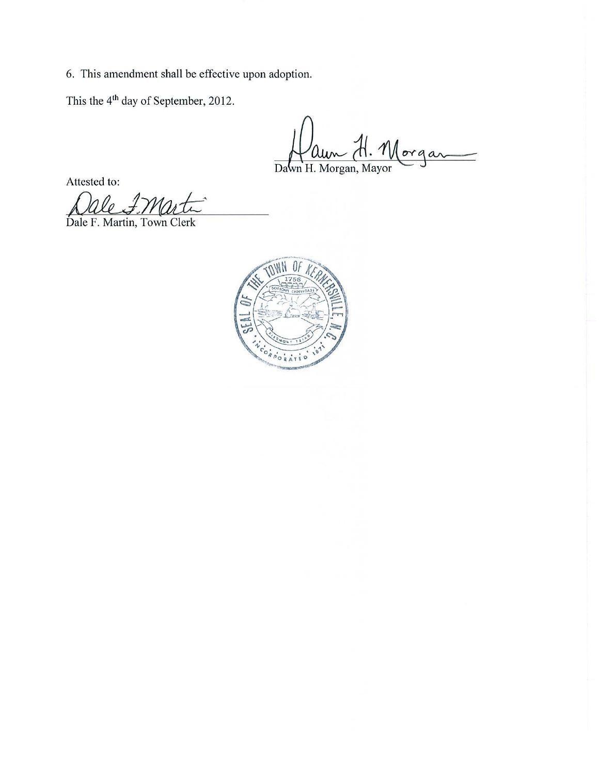6. This amendment shall be effective upon adoption.

This the 4<sup>th</sup> day of September, 2012.

Morgan Dawn H. Morgan, Mayor

Attested to:

 $\ell_{0}$ 

Dale F. Martin, Town Clerk

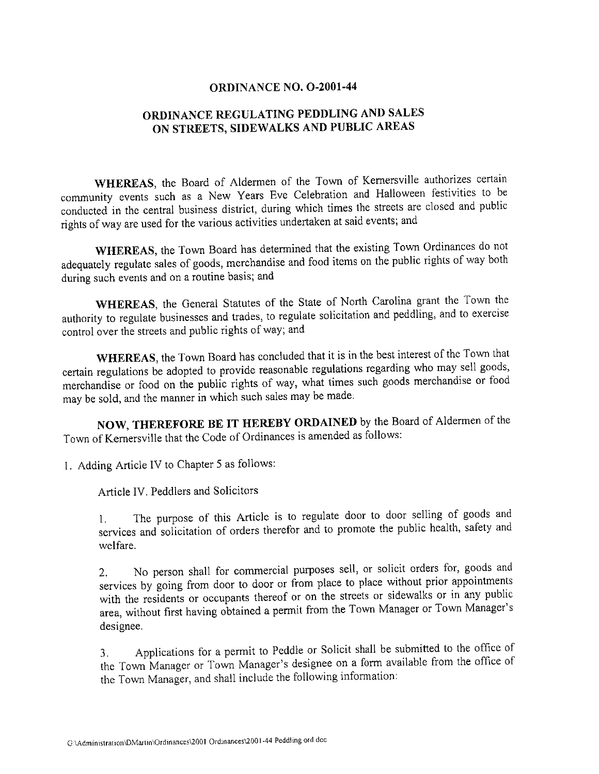#### ORDINANCE NO. O-2001-44

### ORDINANCE REGULATING PEDDLING AND SALES ON STREETS, SIDEWALKS AND PUBLIC AREAS

WHEREAS, the Board of Aldermen of the Town of Kernersville authorizes certain community events such as a New Years Eve Celebration and Halloween festivities to be conducted in the central business district, during which times the streets are closed and public rights of way are used for the various activities undertaken at said events; and

WHEREAS, the Town Board has determined that the existing Town Ordinances do not adequately regulate sales of goods, merchandise and food items on the public rights of way both during such events and on a routine basis; and

WHEREAS, the General Statutes of the State of North Carolina grant the Town the authority to regulate businesses and trades, to regulate solicitation and peddling, and to exercise control over the streets and public rights of way; and

WHEREAS, the Town Board has concluded that it is in the best interest of the Town that certain regulations be adopted to provide reasonable regulations regarding who may sell goods, merchandise or food on the public rights of way, what times such goods merchandise or food may be sold, and the manner in which such sales may be made.

NOW, THEREFORE BE IT HEREBY ORDAINED by the Board of Aldermen of the Town of Kernersville that the Code of Ordinances is amended as follows:

1. Adding Article IV to Chapter 5 as follows:

Article IV. Peddlers and Solicitors

The purpose of this Article is to regulate door to door selling of goods and  $\mathbf{1}$ . services and solicitation of orders therefor and to promote the public health, safety and welfare.

No person shall for commercial purposes sell, or solicit orders for, goods and  $2.$ services by going from door to door or from place to place without prior appointments with the residents or occupants thereof or on the streets or sidewalks or in any public area, without first having obtained a permit from the Town Manager or Town Manager's designee.

Applications for a permit to Peddle or Solicit shall be submitted to the office of 3. the Town Manager or Town Manager's designee on a form available from the office of the Town Manager, and shall include the following information: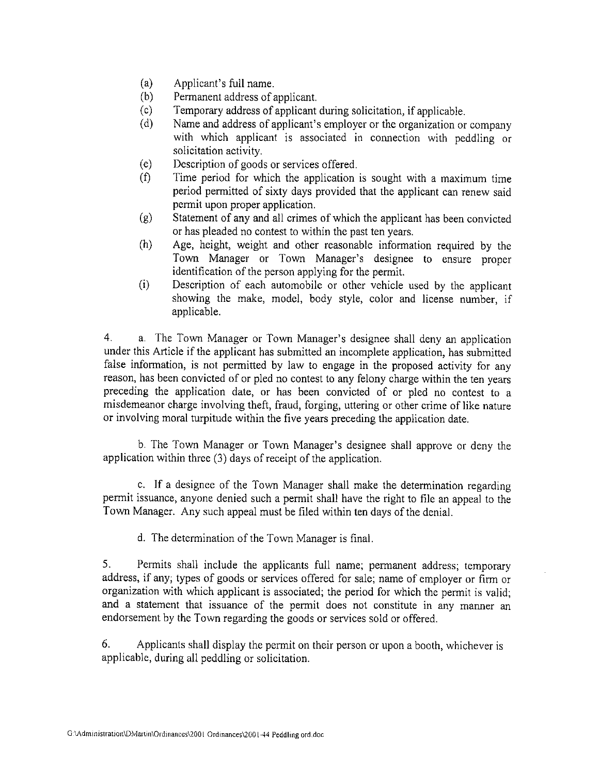- $(a)$ Applicant's full name.
- $(b)$ Permanent address of applicant.
- $(c)$ Temporary address of applicant during solicitation, if applicable.
- Name and address of applicant's employer or the organization or company  $(d)$ with which applicant is associated in connection with peddling or solicitation activity.
- $(e)$ Description of goods or services offered.
- $(f)$ Time period for which the application is sought with a maximum time period permitted of sixty days provided that the applicant can renew said permit upon proper application.
- Statement of any and all crimes of which the applicant has been convicted  $(g)$ or has pleaded no contest to within the past ten years.
- $(h)$ Age, height, weight and other reasonable information required by the Town Manager or Town Manager's designee to ensure proper identification of the person applying for the permit.
- Description of each automobile or other vehicle used by the applicant  $(i)$ showing the make, model, body style, color and license number, if applicable.

4. a. The Town Manager or Town Manager's designee shall deny an application under this Article if the applicant has submitted an incomplete application, has submitted false information, is not permitted by law to engage in the proposed activity for any reason, has been convicted of or pled no contest to any felony charge within the ten years preceding the application date, or has been convicted of or pled no contest to a misdemeanor charge involving theft, fraud, forging, uttering or other crime of like nature or involving moral turpitude within the five years preceding the application date.

b. The Town Manager or Town Manager's designee shall approve or deny the application within three (3) days of receipt of the application.

c. If a designee of the Town Manager shall make the determination regarding permit issuance, anyone denied such a permit shall have the right to file an appeal to the Town Manager. Any such appeal must be filed within ten days of the denial.

d. The determination of the Town Manager is final.

5. Permits shall include the applicants full name; permanent address; temporary address, if any; types of goods or services offered for sale; name of employer or firm or organization with which applicant is associated; the period for which the permit is valid; and a statement that issuance of the permit does not constitute in any manner an endorsement by the Town regarding the goods or services sold or offered.

6. Applicants shall display the permit on their person or upon a booth, whichever is applicable, during all peddling or solicitation.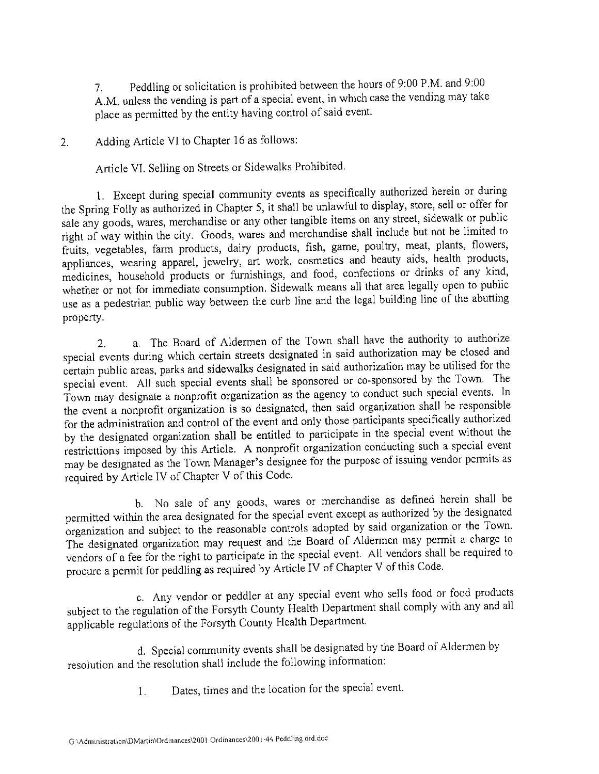Peddling or solicitation is prohibited between the hours of 9:00 P.M. and 9:00  $7<sub>1</sub>$ A.M. unless the vending is part of a special event, in which case the vending may take place as permitted by the entity having control of said event.

Adding Article VI to Chapter 16 as follows:  $2^{1}$ 

Article VI. Selling on Streets or Sidewalks Prohibited.

1. Except during special community events as specifically authorized herein or during the Spring Folly as authorized in Chapter 5, it shall be unlawful to display, store, sell or offer for sale any goods, wares, merchandise or any other tangible items on any street, sidewalk or public right of way within the city. Goods, wares and merchandise shall include but not be limited to fruits, vegetables, farm products, dairy products, fish, game, poultry, meat, plants, flowers, appliances, wearing apparel, jewelry, art work, cosmetics and beauty aids, health products, medicines, household products or furnishings, and food, confections or drinks of any kind, whether or not for immediate consumption. Sidewalk means all that area legally open to public use as a pedestrian public way between the curb line and the legal building line of the abutting property.

a. The Board of Aldermen of the Town shall have the authority to authorize  $2.$ special events during which certain streets designated in said authorization may be closed and certain public areas, parks and sidewalks designated in said authorization may be utilised for the special event. All such special events shall be sponsored or co-sponsored by the Town. The Town may designate a nonprofit organization as the agency to conduct such special events. In the event a nonprofit organization is so designated, then said organization shall be responsible for the administration and control of the event and only those participants specifically authorized by the designated organization shall be entitled to participate in the special event without the restricttions imposed by this Article. A nonprofit organization conducting such a special event may be designated as the Town Manager's designee for the purpose of issuing vendor permits as required by Article IV of Chapter V of this Code.

b. No sale of any goods, wares or merchandise as defined herein shall be permitted within the area designated for the special event except as authorized by the designated organization and subject to the reasonable controls adopted by said organization or the Town. The designated organization may request and the Board of Aldermen may permit a charge to vendors of a fee for the right to participate in the special event. All vendors shall be required to procure a permit for peddling as required by Article IV of Chapter V of this Code.

c. Any vendor or peddler at any special event who sells food or food products subject to the regulation of the Forsyth County Health Department shall comply with any and all applicable regulations of the Forsyth County Health Department.

d. Special community events shall be designated by the Board of Aldermen by resolution and the resolution shall include the following information:

> Dates, times and the location for the special event.  $1.$